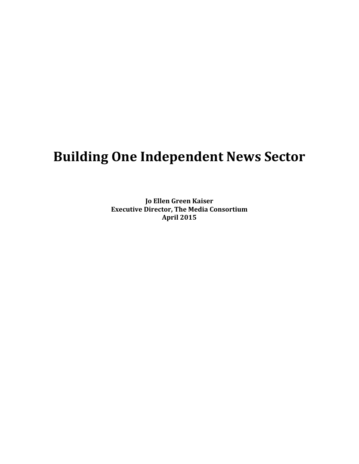# **Building One Independent News Sector**

**Jo Ellen Green Kaiser Executive Director, The Media Consortium April 2015**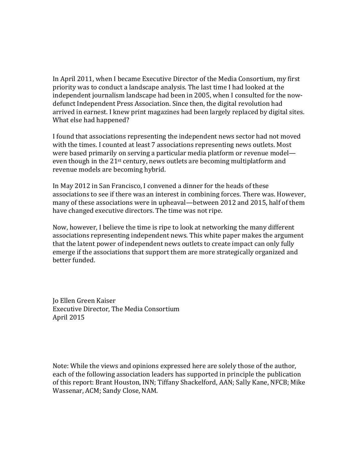In April 2011, when I became Executive Director of the Media Consortium, my first priority was to conduct a landscape analysis. The last time I had looked at the independent journalism landscape had been in 2005, when I consulted for the now‐ defunct Independent Press Association. Since then, the digital revolution had arrived in earnest. I knew print magazines had been largely replaced by digital sites. What else had happened?

I found that associations representing the independent news sector had not moved with the times. I counted at least 7 associations representing news outlets. Most were based primarily on serving a particular media platform or revenue model even though in the 21<sup>st</sup> century, news outlets are becoming multiplatform and revenue models are becoming hybrid.

In May 2012 in San Francisco, I convened a dinner for the heads of these associations to see if there was an interest in combining forces. There was. However, many of these associations were in upheaval—between 2012 and 2015, half of them have changed executive directors. The time was not ripe.

Now, however, I believe the time is ripe to look at networking the many different associations representing independent news. This white paper makes the argument that the latent power of independent news outlets to create impact can only fully emerge if the associations that support them are more strategically organized and better funded.

Jo Ellen Green Kaiser Executive Director, The Media Consortium April 2015

Note: While the views and opinions expressed here are solely those of the author, each of the following association leaders has supported in principle the publication of this report: Brant Houston, INN; Tiffany Shackelford, AAN; Sally Kane, NFCB; Mike Wassenar, ACM; Sandy Close, NAM.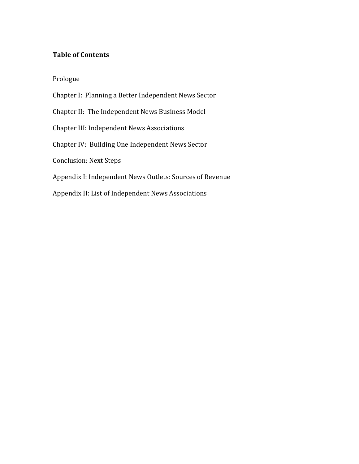# **Table of Contents**

Prologue

Chapter I: Planning a Better Independent News Sector Chapter II: The Independent News Business Model Chapter III: Independent News Associations Chapter IV: Building One Independent News Sector Conclusion: Next Steps Appendix I: Independent News Outlets: Sources of Revenue Appendix II: List of Independent News Associations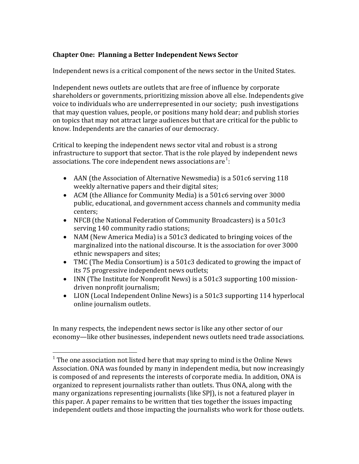# **Chapter One: Planning a Better Independent News Sector**

Independent news is a critical component of the news sector in the United States.

Independent news outlets are outlets that are free of influence by corporate shareholders or governments, prioritizing mission above all else. Independents give voice to individuals who are underrepresented in our society; push investigations that may question values, people, or positions many hold dear; and publish stories on topics that may not attract large audiences but that are critical for the public to know. Independents are the canaries of our democracy.

Critical to keeping the independent news sector vital and robust is a strong infrastructure to support that sector. That is the role played by independent news associations. The core independent news associations are  $1$ :

- AAN (the Association of Alternative Newsmedia) is a 501c6 serving 118 weekly alternative papers and their digital sites;
- ACM (the Alliance for Community Media) is a 501c6 serving over 3000 public, educational, and government access channels and community media centers;
- NFCB (the National Federation of Community Broadcasters) is a 501c3 serving 140 community radio stations;
- NAM (New America Media) is a 501c3 dedicated to bringing voices of the marginalized into the national discourse. It is the association for over 3000 ethnic newspapers and sites;
- TMC (The Media Consortium) is a 501c3 dedicated to growing the impact of its 75 progressive independent news outlets;
- INN (The Institute for Nonprofit News) is a 501c3 supporting 100 missiondriven nonprofit journalism;
- LION (Local Independent Online News) is a 501c3 supporting 114 hyperlocal online journalism outlets.

In many respects, the independent news sector is like any other sector of our economy—like other businesses, independent news outlets need trade associations.

 $\overline{a}$ 

 $1$  The one association not listed here that may spring to mind is the Online News Association. ONA was founded by many in independent media, but now increasingly is composed of and represents the interests of corporate media. In addition, ONA is organized to represent journalists rather than outlets. Thus ONA, along with the many organizations representing journalists (like SPJ), is not a featured player in this paper. A paper remains to be written that ties together the issues impacting ndependent outlets and those impacting the journalists who work for those outlets. i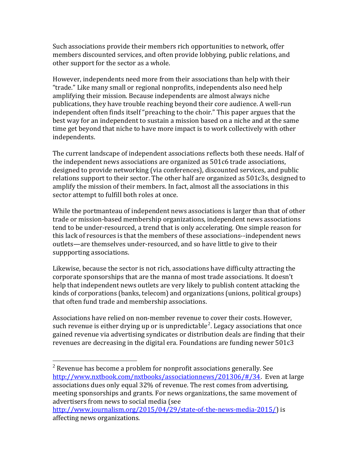Such associations provide their members rich opportunities to network, offer members discounted services, and often provide lobbying, public relations, and other support for the sector as a whole.

However, independents need more from their associations than help with their "trade." Like many small or regional nonprofits, independents also need help amplifying their mission. Because independents are almost always niche publications, they have trouble reaching beyond their core audience. A well‐run independent often finds itself "preaching to the choir." This paper argues that the best way for an independent to sustain a mission based on a niche and at the same time get beyond that niche to have more impact is to work collectively with other independents.

The current landscape of independent associations reflects both these needs. Half of the independent news associations are organized as 501c6 trade associations, designed to provide networking (via conferences), discounted services, and public relations support to their sector. The other half are organized as 501c3s, designed to amplify the mission of their members. In fact, almost all the associations in this sector attempt to fulfill both roles at once.

While the portmanteau of independent news associations is larger than that of other trade or mission‐based membership organizations, independent news associations tend to be under‐resourced, a trend that is only accelerating. One simple reason for this lack of resources is that the members of these associations‐‐independent news outlets—are themselves under‐resourced, and so have little to give to their suppporting associations.

Likewise, because the sector is not rich, associations have difficulty attracting the corporate sponsorships that are the manna of most trade associations. It doesn't help that independent news outlets are very likely to publish content attacking the kinds of corporations (banks, telecom) and organizations (unions, political groups) that often fund trade and membership associations.

Associations have relied on non‐member revenue to cover their costs. However, such revenue is either drying up or is unpredictable<sup>[2](#page-4-0)</sup>. Legacy associations that once gained revenue via advertising syndicates or distribution deals are finding that their revenues are decreasing in the digital era. Foundations are funding newer 501c3

 $\overline{a}$ 

<span id="page-4-0"></span> $^2$  Revenue has become a problem for nonprofit associations generally. See <http://www.nxtbook.com/nxtbooks/associationnews/201306/#/34>. Even at large associations dues only equal 32% of revenue. The rest comes from advertising, meeting sponsorships and grants. For news organizations, the same movement of advertisers from news to social media (see

http://www.journalism.org/2015/04/29/state-of-the-news-media-2015/) is affecting news organizations.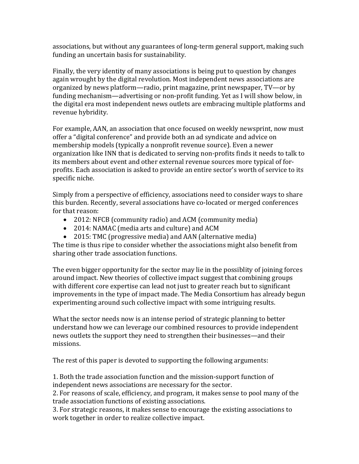associations, but without any guarantees of long‐term general support, making such funding an uncertain basis for sustainability.

Finally, the very identity of many associations is being put to question by changes again wrought by the digital revolution. Most independent news associations are organized by news platform—radio, print magazine, print newspaper, TV—or by funding mechanism—advertising or non‐profit funding. Yet as I will show below, in the digital era most independent news outlets are embracing multiple platforms and revenue hybridity.

For example, AAN, an association that once focused on weekly newsprint, now must offer a "digital conference" and provide both an ad syndicate and advice on membership models (typically a nonprofit revenue source). Even a newer organization like INN that is dedicated to serving non‐profits finds it needs to talk to its members about event and other external revenue sources more typical of for‐ profits. Each association is asked to provide an entire sector's worth of service to its specific niche.

Simply from a perspective of efficiency, associations need to consider ways to share this burden. Recently, several associations have co-located or merged conferences for that reason:

- 2012: NFCB (community radio) and ACM (community media)
- 2014: NAMAC (media arts and culture) and ACM
- 2015: TMC (progressive media) and AAN (alternative media)

The time is thus ripe to consider whether the associations might also benefit from sharing other trade association functions.

The even bigger opportunity for the sector may lie in the possiblity of joining forces around impact. New theories of collective impact suggest that combining groups with different core expertise can lead not just to greater reach but to significant improvements in the type of impact made. The Media Consortium has already begun experimenting around such collective impact with some intriguing results.

What the sector needs now is an intense period of strategic planning to better understand how we can leverage our combined resources to provide independent news outlets the support they need to strengthen their businesses—and their missions.

The rest of this paper is devoted to supporting the following arguments:

1. Both the trade association function and the mission‐support function of independent news associations are necessary for the sector.

2. For reasons of scale, efficiency, and program, it makes sense to pool many of the trade association functions of existing associations.

3. For strategic reasons, it makes sense to encourage the existing associations to work together in order to realize collective impact.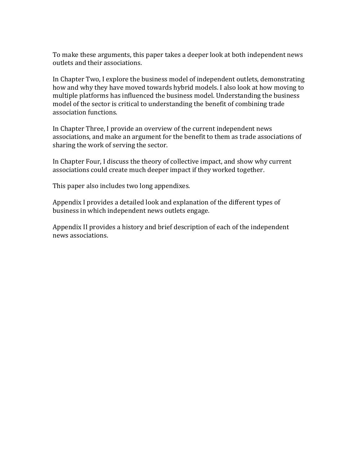To make these arguments, this paper takes a deeper look at both independent news outlets and their associations.

In Chapter Two, I explore the business model of independent outlets, demonstrating how and why they have moved towards hybrid models. I also look at how moving to multiple platforms has influenced the business model. Understanding the business model of the sector is critical to understanding the benefit of combining trade association functions.

In Chapter Three, I provide an overview of the current independent news associations, and make an argument for the benefit to them as trade associations of sharing the work of serving the sector.

In Chapter Four, I discuss the theory of collective impact, and show why current associations could create much deeper impact if they worked together.

This paper also includes two long appendixes.

Appendix I provides a detailed look and explanation of the different types of business in which independent news outlets engage.

Appendix II provides a history and brief description of each of the independent news associations.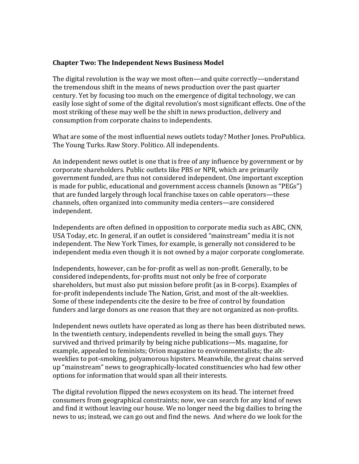## **Chapter Two: The Independent News Business Model**

The digital revolution is the way we most often—and quite correctly—understand the tremendous shift in the means of news production over the past quarter century. Yet by focusing too much on the emergence of digital technology, we can easily lose sight of some of the digital revolution's most significant effects. One of the most striking of these may well be the shift in news production, delivery and consumption from corporate chains to independents.

What are some of the most influential news outlets today? Mother Jones. ProPublica. The Young Turks. Raw Story. Politico. All independents.

An independent news outlet is one that is free of any influence by government or by corporate shareholders. Public outlets like PBS or NPR, which are primarily government funded, are thus not considered independent. One important exception is made for public, educational and government access channels (known as "PEGs") that are funded largely through local franchise taxes on cable operators—these channels, often organized into community media centers—are considered independent.

Independents are often defined in opposition to corporate media such as ABC, CNN, USA Today, etc. In general, if an outlet is considered "mainstream" media it is not independent. The New York Times, for example, is generally not considered to be independent media even though it is not owned by a major corporate conglomerate.

Independents, however, can be for‐profit as well as non‐profit. Generally, to be considered independents, for‐profits must not only be free of corporate shareholders, but must also put mission before profit (as in B‐corps). Examples of for-profit independents include The Nation, Grist, and most of the alt-weeklies. Some of these independents cite the desire to be free of control by foundation funders and large donors as one reason that they are not organized as non-profits.

Independent news outlets have operated as long as there has been distributed news. In the twentieth century, independents revelled in being the small guys. They survived and thrived primarily by being niche publications—Ms. magazine, for example, appealed to feminists; Orion magazine to environmentalists; the altweeklies to pot-smoking, polyamorous hipsters. Meanwhile, the great chains served up "mainstream" news to geographically‐located constituencies who had few other options for information that would span all their interests.

The digital revolution flipped the news ecosystem on its head. The internet freed consumers from geographical constraints; now, we can search for any kind of news and find it without leaving our house. We no longer need the big dailies to bring the news to us; instead, we can go out and find the news. And where do we look for the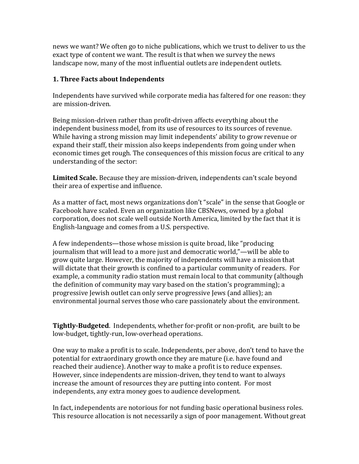news we want? We often go to niche publications, which we trust to deliver to us the exact type of content we want. The result is that when we survey the news landscape now, many of the most influential outlets are independent outlets.

# **1. Three Facts about Independents**

Independents have survived while corporate media has faltered for one reason: they are mission‐driven.

Being mission‐driven rather than profit‐driven affects everything about the independent business model, from its use of resources to its sources of revenue. While having a strong mission may limit independents' ability to grow revenue or expand their staff, their mission also keeps independents from going under when economic times get rough. The consequences of this mission focus are critical to any understanding of the sector:

**Limited Scale.** Because they are mission‐driven, independents can't scale beyond their area of expertise and influence.

As a matter of fact, most news organizations don't "scale" in the sense that Google or Facebook have scaled. Even an organization like CBSNews, owned by a global corporation, does not scale well outside North America, limited by the fact that it is English‐language and comes from a U.S. perspective.

A few independents—those whose mission is quite broad, like "producing journalism that will lead to a more just and democratic world,"—will be able to grow quite large. However, the majority of independents will have a mission that will dictate that their growth is confined to a particular community of readers. For example, a community radio station must remain local to that community (although the definition of community may vary based on the station's programming); a progressive Jewish outlet can only serve progressive Jews (and allies); an environmental journal serves those who care passionately about the environment.

**TightlyBudgeted**. Independents, whether for‐profit or non‐profit, are built to be low‐budget, tightly‐run, low‐overhead operations.

One way to make a profit is to scale. Independents, per above, don't tend to have the potential for extraordinary growth once they are mature (i.e. have found and reached their audience). Another way to make a profit is to reduce expenses. However, since independents are mission‐driven, they tend to want to always increase the amount of resources they are putting into content. For most independents, any extra money goes to audience development.

In fact, independents are notorious for not funding basic operational business roles. This resource allocation is not necessarily a sign of poor management. Without great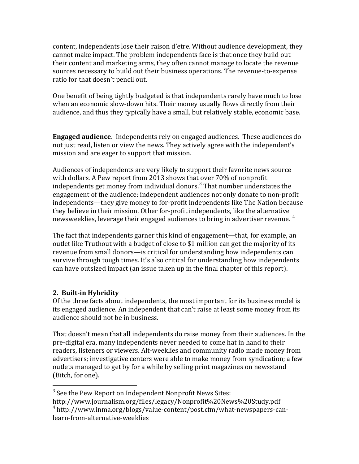content, independents lose their raison d'etre. Without audience development, they cannot make impact. The problem independents face is that once they build out their content and marketing arms, they often cannot manage to locate the revenue sources necessary to build out their business operations. The revenue‐to‐expense ratio for that doesn't pencil out.

One benefit of being tightly budgeted is that independents rarely have much to lose when an economic slow-down hits. Their money usually flows directly from their audience, and thus they typically have a small, but relatively stable, economic base.

**Engaged audience**. Independents rely on engaged audiences. These audiences do not just read, listen or view the news. They actively agree with the independent's mission and are eager to support that mission.

Audiences of independents are very likely to support their favorite news source with dollars. A Pew report from 2013 shows that over 70% of nonprofit independents get money from individual donors.<sup>[3](#page-9-0)</sup> That number understates the engagement of the audience: independent audiences not only donate to non‐profit independents—they give money to for‐profit independents like The Nation because they believe in their mission. Other for‐profit independents, like the alternative newsweeklies, leverage their engaged audiences to bring in advertiser revenue.<sup>4</sup>

The fact that independents garner this kind of engagement—that, for example, an outlet like Truthout with a budget of close to \$1 million can get the majority of its revenue from small donors—is critical for understanding how independents can survive through tough times. It's also critical for understanding how independents can have outsized impact (an issue taken up in the final chapter of this report).

# **2. Builtin Hybridity**

 $\overline{a}$ 

Of the three facts about independents, the most important for its business model is its engaged audience. An independent that can't raise at least some money from its audience should not be in business.

That doesn't mean that all independents do raise money from their audiences. In the pre‐digital era, many independents never needed to come hat in hand to their readers, listeners or viewers. Alt-weeklies and community radio made money from advertisers; investigative centers were able to make money from syndication; a few outlets managed to get by for a while by selling print magazines on newsstand (Bitch, for one).

<span id="page-9-0"></span> $3$  See the Pew Report on Independent Nonprofit News Sites:

http://www.journalism.org/files/legacy/Nonprofit%20News%20Study.pdf

<sup>&</sup>lt;sup>4</sup> http://www.inma.org/blogs/value-content/post.cfm/what-newspapers-canlearn‐from‐alternative‐weeklies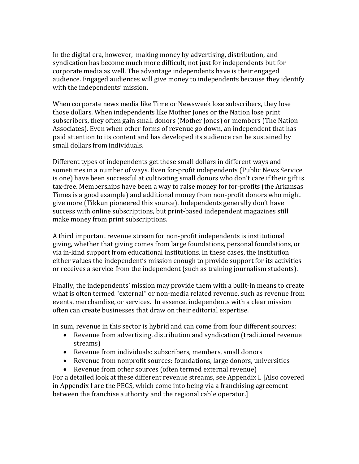In the digital era, however, making money by advertising, distribution, and syndication has become much more difficult, not just for independents but for corporate media as well. The advantage independents have is their engaged audience. Engaged audiences will give money to independents because they identify with the independents' mission.

When corporate news media like Time or Newsweek lose subscribers, they lose those dollars. When independents like Mother Jones or the Nation lose print subscribers, they often gain small donors (Mother Jones) or members (The Nation Associates). Even when other forms of revenue go down, an independent that has paid attention to its content and has developed its audience can be sustained by small dollars from individuals.

Different types of independents get these small dollars in different ways and sometimes in a number of ways. Even for‐profit independents (Public News Service is one) have been successful at cultivating small donors who don't care if their gift is tax‐free. Memberships have been a way to raise money for for‐profits (the Arkansas Times is a good example) and additional money from non‐profit donors who might give more (Tikkun pioneered this source). Independents generally don't have success with online subscriptions, but print‐based independent magazines still make money from print subscriptions.

A third important revenue stream for non‐profit independents is institutional giving, whether that giving comes from large foundations, personal foundations, or via in‐kind support from educational institutions. In these cases, the institution either values the independent's mission enough to provide support for its activities or receives a service from the independent (such as training journalism students).

Finally, the independents' mission may provide them with a built-in means to create what is often termed "external" or non-media related revenue, such as revenue from events, merchandise, or services. In essence, independents with a clear mission often can create businesses that draw on their editorial expertise.

In sum, revenue in this sector is hybrid and can come from four different sources:

- Revenue from advertising, distribution and syndication (traditional revenue streams)
- Revenue from individuals: subscribers, members, small donors
- Revenue from nonprofit sources: foundations, large donors, universities
- Revenue from other sources (often termed external revenue)

For a detailed look at these different revenue streams, see Appendix I. [Also covered in Appendix I are the PEGS, which come into being via a franchising agreement between the franchise authority and the regional cable operator.]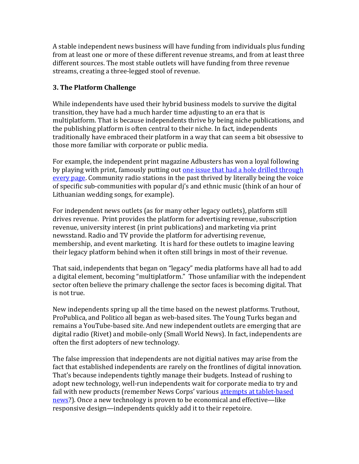A stable independent news business will have funding from individuals plus funding from at least one or more of these different revenue streams, and from at least three different sources. The most stable outlets will have funding from three revenue streams, creating a three‐legged stool of revenue.

# **3. The Platform Challenge**

While independents have used their hybrid business models to survive the digital transition, they have had a much harder time adjusting to an era that is multiplatform. That is because independents thrive by being niche publications, and the publishing platform is often central to their niche. In fact, independents traditionally have embraced their platform in a way that can seem a bit obsessive to those more familiar with corporate or public media.

For example, the independent print magazine Adbusters has won a loyal following by playing with print, famously putting out one issue that had a hole drilled through [every page.](https://www.adbusters.org/magazine/112) Community radio stations in the past thrived by literally being the voice of specific sub‐communities with popular dj's and ethnic music (think of an hour of Lithuanian wedding songs, for example).

For independent news outlets (as for many other legacy outlets), platform still drives revenue. Print provides the platform for advertising revenue, subscription revenue, university interest (in print publications) and marketing via print newsstand. Radio and TV provide the platform for advertising revenue, membership, and event marketing. It is hard for these outlets to imagine leaving their legacy platform behind when it often still brings in most of their revenue.

That said, independents that began on "legacy" media platforms have all had to add a digital element, becoming "multiplatform." Those unfamiliar with the independent sector often believe the primary challenge the sector faces is becoming digital. That is not true.

New independents spring up all the time based on the newest platforms. Truthout, ProPublica, and Politico all began as web‐based sites. The Young Turks began and remains a YouTube‐based site. And new independent outlets are emerging that are digital radio (Rivet) and mobile‐only (Small World News). In fact, independents are often the first adopters of new technology.

The false impression that independents are not digitial natives may arise from the fact that established independents are rarely on the frontlines of digital innovation. That's because independents tightly manage their budgets. Instead of rushing to adopt new technology, well-run independents wait for corporate media to try and f[ail w](http://www.poynter.org/news/media-innovation/106466/reports-murdochs-alesia-tablet-project-dead/)ith new products (remember News Corps' various attempts at tablet-based news?). Once a new technology is proven to be economical and effective—like responsive design—independents quickly add it to their repetoire.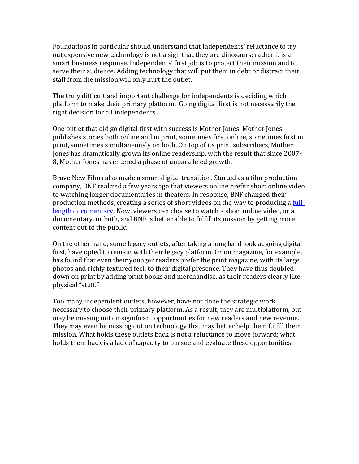Foundations in particular should understand that independents' reluctance to try out expensive new technology is not a sign that they are dinosaurs; rather it is a smart business response. Independents' first job is to protect their mission and to serve their audience. Adding technology that will put them in debt or distract their staff from the mission will only hurt the outlet.

The truly difficult and important challenge for independents is deciding which platform to make their primary platform. Going digital first is not necessarily the right decision for all independents.

One outlet that did go digital first with success is Mother Jones. Mother Jones publishes stories both online and in print, sometimes first online, sometimes first in print, sometimes simultaneously on both. On top of its print subscribers, Mother Jones has dramatically grown its online readership, with the result that since 2007‐ 8, Mother Jones has entered a phase of unparalleled growth.

Brave New Films also made a smart digital transition. Started as a film production company, BNF realized a few years ago that viewers online prefer short online video to watching longer documentaries in theaters. In response, BNF changed their [production methods](http://www.bravenewfilms.org/unmanned), creating a series of short videos on the way to producing a <u>full-</u> length documentary. Now, viewers can choose to watch a short online video, or a documentary, or both, and BNF is better able to fulfill its mission by getting more content out to the public.

On the other hand, some legacy outlets, after taking a long hard look at going digital first, have opted to remain with their legacy platform. Orion magazine, for example, has found that even their younger readers prefer the print magazine, with its large photos and richly textured feel, to their digital presence. They have thus doubled down on print by adding print books and merchandise, as their readers clearly like physical "stuff."

Too many independent outlets, however, have not done the strategic work necessary to choose their primary platform. As a result, they are multiplatform, but may be missing out on significant opportunities for new readers and new revenue. They may even be missing out on technology that may better help them fulfill their mission. What holds these outlets back is not a reluctance to move forward; what holds them back is a lack of capacity to pursue and evaluate these opportunities.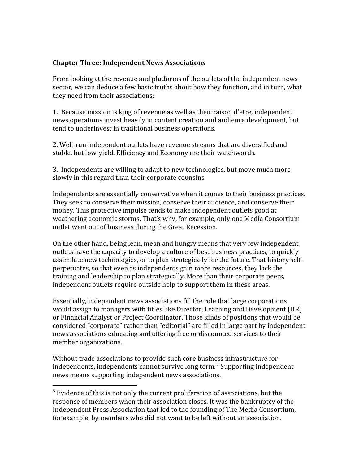# **Chapter Three: Independent News Associations**

From looking at the revenue and platforms of the outlets of the independent news sector, we can deduce a few basic truths about how they function, and in turn, what they need from their associations:

1. Because mission is king of revenue as well as their raison d'etre, independent news operations invest heavily in content creation and audience development, but tend to underinvest in traditional business operations.

2. Well‐run independent outlets have revenue streams that are diversified and stable, but low‐yield. Efficiency and Economy are their watchwords.

3. Independents are willing to adapt to new technologies, but move much more slowly in this regard than their corporate counsins.

Independents are essentially conservative when it comes to their business practices. They seek to conserve their mission, conserve their audience, and conserve their money. This protective impulse tends to make independent outlets good at weathering economic storms. That's why, for example, only one Media Consortium outlet went out of business during the Great Recession.

On the other hand, being lean, mean and hungry means that very few independent outlets have the capacity to develop a culture of best business practices, to quickly assimilate new technologies, or to plan strategically for the future. That history self‐ perpetuates, so that even as independents gain more resources, they lack the training and leadership to plan strategically. More than their corporate peers, independent outlets require outside help to support them in these areas.

Essentially, independent news associations fill the role that large corporations would assign to managers with titles like Director, Learning and Development (HR) or Financial Analyst or Project Coordinator. Those kinds of positions that would be considered "corporate" rather than "editorial" are filled in large part by independent news associations educating and offering free or discounted services to their member organizations.

Without trade associations to provide such core business infrastructure for independents, independents cannot survive long term.<sup>[5](#page-13-0)</sup> Supporting independent news means supporting independent news associations.

1

<span id="page-13-0"></span> $<sup>5</sup>$  Evidence of this is not only the current proliferation of associations, but the</sup> response of members when their association closes. It was the bankruptcy of the Independent Press Association that led to the founding of The Media Consortium, for example, by members who did not want to be left without an association.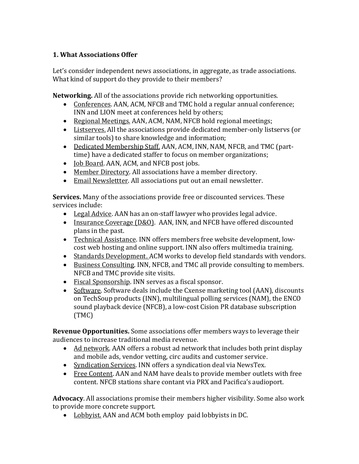# **1. What Associations Offer**

Let's consider independent news associations, in aggregate, as trade associations. What kind of support do they provide to their members?

**Networking.** All of the associations provide rich networking opportunities.

- Conferences. AAN, ACM, NFCB and TMC hold a regular annual conference; INN and LION meet at conferences held by others;
- Regional Meetings. AAN, ACM, NAM, NFCB hold regional meetings;
- Listserves. All the associations provide dedicated member-only listservs (or similar tools) to share knowledge and information;
- Dedicated Membership Staff. AAN, ACM, INN, NAM, NFCB, and TMC (parttime) have a dedicated staffer to focus on member organizations;
- Job Board. AAN, ACM, and NFCB post jobs.
- Member Directory. All associations have a member directory.
- Email Newslettter. All associations put out an email newsletter.

**Services.** Many of the associations provide free or discounted services. These service s include:

- Legal Advice. AAN has an on-staff lawyer who provides legal advice.
- Insurance Coverage (D&O). AAN, INN, and NFCB have offered discounted plans in the past.
- Technical Assistance. INN offers members free website development, lowcost web hosting and online support. INN also offers multimedia training.
- Standards Development. ACM works to develop field standards with vendors.
- Business Consulting. INN, NFCB, and TMC all provide consulting to members. NFCB and TMC provide site visits.
- Fiscal Sponsorship. INN serves as a fiscal sponsor.
- Software. Software deals include the Cxense marketing tool (AAN), discounts on TechSoup products (INN), multilingual polling services (NAM), the ENCO sound playback device (NFCB), a low‐cost Cision PR database subscription (TMC)

**Revenu e Opportunities.** Some associations offer members ways to leverage their audien ces to increase traditional media revenue.

- Ad network. AAN offers a robust ad network that includes both print display and mobile ads, vendor vetting, circ audits and customer service.
- Syndication Services. INN offers a syndication deal via NewsTex.
- Free Content. AAN and NAM have deals to provide member outlets with free content. NFCB stations share contant via PRX and Pacifica's audioport.

Advocacy. All associations promise their members higher visibility. Some also work to prov ide more concrete support.

• Lobbyist. AAN and ACM both employ paid lobbyists in DC.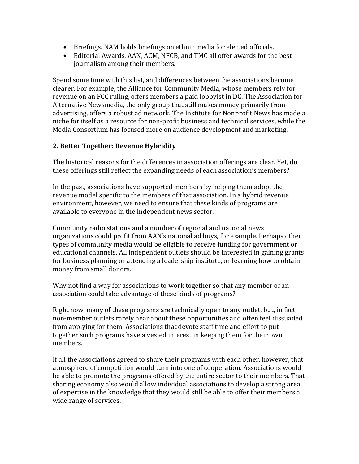- Briefings. NAM holds briefings on ethnic media for elected officials.
- Editorial Awards. AAN, ACM, NFCB, and TMC all offer awards for the best journalism among their members.

Spend some time with this list, and differences between the associations become clearer. For example, the Alliance for Community Media, whose members rely for revenue on an FCC ruling, offers members a paid lobbyist in DC. The Association for Alternative Newsmedia, the only group that still makes money primarily from advertising, offers a robust ad network. The Institute for Nonprofit News has made a niche for itself as a resource for non‐profit business and technical services, while the Media Consortium has focused more on audience development and marketing.

# **2. Better Together: Revenue Hybridity**

The historical reasons for the differences in association offerings are clear. Yet, do these offerings still reflect the expanding needs of each association's members?

In the past, associations have supported members by helping them adopt the revenue model specific to the members of that association. In a hybrid revenue environment, however, we need to ensure that these kinds of programs are available to everyone in the independent news sector.

Community radio stations and a number of regional and national news organizations could profit from AAN's national ad buys, for example. Perhaps other types of community media would be eligible to receive funding for government or educational channels. All independent outlets should be interested in gaining grants for business planning or attending a leadership institute, or learning how to obtain money from small donors.

Why not find a way for associations to work together so that any member of an association could take advantage of these kinds of programs?

Right now, many of these programs are technically open to any outlet, but, in fact, non‐member outlets rarely hear about these opportunities and often feel dissuaded from applying for them. Associations that devote staff time and effort to put together such programs have a vested interest in keeping them for their own members.

If all the associations agreed to share their programs with each other, however, that atmosphere of competition would turn into one of cooperation. Associations would be able to promote the programs offered by the entire sector to their members. That sharing economy also would allow individual associations to develop a strong area of expertise in the knowledge that they would still be able to offer their members a wide range of services.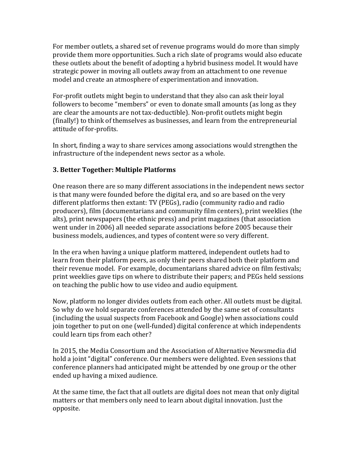For member outlets, a shared set of revenue programs would do more than simply provide them more opportunities. Such a rich slate of programs would also educate these outlets about the benefit of adopting a hybrid business model. It would have strategic power in moving all outlets away from an attachment to one revenue model and create an atmosphere of experimentation and innovation.

For‐profit outlets might begin to understand that they also can ask their loyal followers to become "members" or even to donate small amounts (as long as they are clear the amounts are not tax‐deductible). Non‐profit outlets might begin (finally!) to think of themselves as businesses, and learn from the entrepreneurial attitude of for‐profits.

In short, finding a way to share services among associations would strengthen the infrastructure of the independent news sector as a whole.

# **3. Better Together: Multiple Platforms**

One reason there are so many different associations in the independent news sector is that many were founded before the digital era, and so are based on the very different platforms then extant: TV (PEGs), radio (community radio and radio producers), film (documentarians and community film centers), print weeklies (the alts), print newspapers (the ethnic press) and print magazines (that association went under in 2006) all needed separate associations before 2005 because their business models, audiences, and types of content were so very different.

In the era when having a unique platform mattered, independent outlets had to learn from their platform peers, as only their peers shared both their platform and their revenue model. For example, documentarians shared advice on film festivals; print weeklies gave tips on where to distribute their papers; and PEGs held sessions on teaching the public how to use video and audio equipment.

Now, platform no longer divides outlets from each other. All outlets must be digital. So why do we hold separate conferences attended by the same set of consultants (including the usual suspects from Facebook and Google) when associations could join together to put on one (well‐funded) digital conference at which independents could learn tips from each other?

In 2015, the Media Consortium and the Association of Alternative Newsmedia did hold a joint "digital" conference. Our members were delighted. Even sessions that conference planners had anticipated might be attended by one group or the other ended up having a mixed audience.

At the same time, the fact that all outlets are digital does not mean that only digital matters or that members only need to learn about digital innovation. Just the opposite.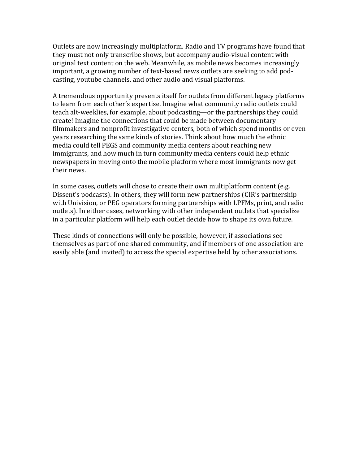Outlets are now increasingly multiplatform. Radio and TV programs have found that they must not only transcribe shows, but accompany audio‐visual content with original text content on the web. Meanwhile, as mobile news becomes increasingly important, a growing number of text-based news outlets are seeking to add podcasting, youtube channels, and other audio and visual platforms.

A tremendous opportunity presents itself for outlets from different legacy platforms to learn from each other's expertise. Imagine what community radio outlets could teach alt‐weeklies, for example, about podcasting—or the partnerships they could create! Imagine the connections that could be made between documentary filmmakers and nonprofit investigative centers, both of which spend months or even years researching the same kinds of stories. Think about how much the ethnic media could tell PEGS and community media centers about reaching new immigrants, and how much in turn community media centers could help ethnic newspapers in moving onto the mobile platform where most immigrants now get their news.

In some cases, outlets will chose to create their own multiplatform content (e.g. Dissent's podcasts). In others, they will form new partnerships (CIR's partnership with Univision, or PEG operators forming partnerships with LPFMs, print, and radio outlets). In either cases, networking with other independent outlets that specialize in a particular platform will help each outlet decide how to shape its own future.

These kinds of connections will only be possible, however, if associations see hemselves as part of one shared community, and if members of one association are t easily able (and invited) to access the special expertise held by other associations.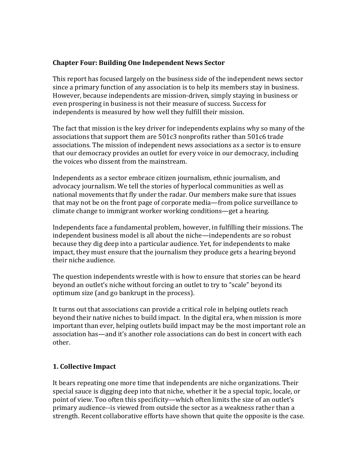# **Chapter Four: Building One Independent News Sector**

This report has focused largely on the business side of the independent news sector since a primary function of any association is to help its members stay in business. However, because independents are mission‐driven, simply staying in business or even prospering in business is not their measure of success. Success for independents is measured by how well they fulfill their mission.

The fact that mission is the key driver for independents explains why so many of the associations that support them are 501c3 nonprofits rather than 501c6 trade associations. The mission of independent news associations as a sector is to ensure that our democracy provides an outlet for every voice in our democracy, including the voices who dissent from the mainstream.

Independents as a sector embrace citizen journalism, ethnic journalism, and advocacy journalism. We tell the stories of hyperlocal communities as well as national movements that fly under the radar. Our members make sure that issues that may not be on the front page of corporate media—from police surveillance to climate change to immigrant worker working conditions—get a hearing.

Independents face a fundamental problem, however, in fulfilling their missions. The independent business model is all about the niche—independents are so robust because they dig deep into a particular audience. Yet, for independents to make impact, they must ensure that the journalism they produce gets a hearing beyond their niche audience.

The question independents wrestle with is how to ensure that stories can be heard beyond an outlet's niche without forcing an outlet to try to "scale" beyond its optimum size (and go bankrupt in the process).

It turns out that associations can provide a critical role in helping outlets reach beyond their native niches to build impact. In the digital era, when mission is more important than ever, helping outlets build impact may be the most important role an association has—and it's another role associations can do best in concert with each other.

# **1. Collective Impact**

It bears repeating one more time that independents are niche organizations. Their special sauce is digging deep into that niche, whether it be a special topic, locale, or point of view. Too often this specificity—which often limits the size of an outlet's primary audience‐‐is viewed from outside the sector as a weakness rather than a strength. Recent collaborative efforts have shown that quite the opposite is the case.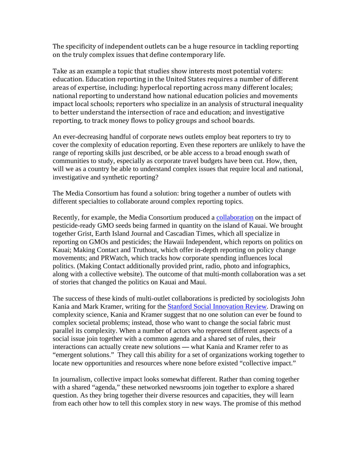The specificity of independent outlets can be a huge resource in tackling reporting on the truly complex issues that define contemporary life.

Take as an example a topic that studies show interests most potential voters: education. Education reporting in the United States requires a number of different areas of expertise, including: hyperlocal reporting across many different locales; national reporting to understand how national education policies and movements impact local schools; reporters who specialize in an analysis of structural inequality to better understand the intersection of race and education; and investigative reporting, to track money flows to policy groups and school boards.

An ever-decreasing handful of corporate news outlets employ beat reporters to try to cover the complexity of education reporting. Even these reporters are unlikely to have the range of reporting skills just described, or be able access to a broad enough swath of communities to study, especially as corporate travel budgets have been cut. How, then, will we as a country be able to understand complex issues that require local and national, investigative and synthetic reporting?

The Media Consortium has found a solution: bring together a number of outlets with different specialties to collaborate around complex reporting topics.

Recently, for example, the Media Consortium produced a [collaboration](http://wtfcorporations.com/about-the-project/) on the impact of pesticide-ready GMO seeds being farmed in quantity on the island of Kauai. We brought together Grist, Earth Island Journal and Cascadian Times, which all specialize in reporting on GMOs and pesticides; the Hawaii Independent, which reports on politics on Kauai; Making Contact and Truthout, which offer in-depth reporting on policy change movements; and PRWatch, which tracks how corporate spending influences local politics. (Making Contact additionally provided print, radio, photo and infographics, along with a collective website). The outcome of that multi-month collaboration was a set of stories that changed the politics on Kauai and Maui.

The success of these kinds of multi-outlet collaborations is predicted by sociologists John Kania and Mark Kramer, writing for the [Stanford Social Innovation Review.](http://www.ssireview.org/articles/entry/collective_impact) Drawing on complexity science, Kania and Kramer suggest that no one solution can ever be found to complex societal problems; instead, those who want to change the social fabric must parallel its complexity. When a number of actors who represent different aspects of a social issue join together with a common agenda and a shared set of rules, their interactions can actually create new solutions **—** what Kania and Kramer refer to as "emergent solutions." They call this ability for a set of organizations working together to locate new opportunities and resources where none before existed "collective impact."

In journalism, collective impact looks somewhat different. Rather than coming together with a shared "agenda," these networked newsrooms join together to explore a shared question. As they bring together their diverse resources and capacities, they will learn from each other how to tell this complex story in new ways. The promise of this method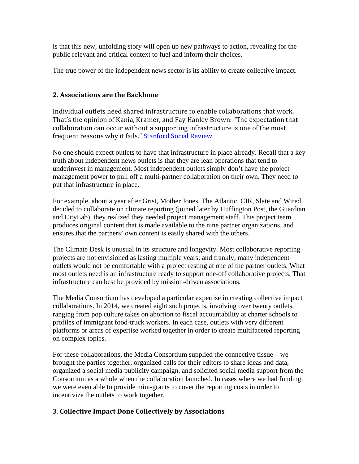is that this new, unfolding story will open up new pathways to action, revealing for the public relevant and critical context to fuel and inform their choices.

The true power of the independent news sector is its ability to create collective impact.

# **2. Associations are the Backbone**

Individual outlets need shared infrastructure to enable collaborations that work. That's the opinion of Kania, Kramer, and Fay Hanley Brown: "The expectation that collaboration can occur without a supporting infrastructure is one of the most frequent reasons why it fails." [Stanford Social Review](http://www.ssireview.org/pdf/Channeling_Change_PDF.pdf)

No one should expect outlets to have that infrastructure in place already. Recall that a key truth about independent news outlets is that they are lean operations that tend to underinvest in management. Most independent outlets simply don't have the project management power to pull off a multi-partner collaboration on their own. They need to put that infrastructure in place.

For example, about a year after Grist, Mother Jones, The Atlantic, CIR, Slate and Wired decided to collaborate on climate reporting (joined later by Huffington Post, the Guardian and CityLab), they realized they needed project management staff. This project team produces original content that is made available to the nine partner organizations, and ensures that the partners' own content is easily shared with the others.

The Climate Desk is unusual in its structure and longevity. Most collaborative reporting projects are not envisioned as lasting multiple years; and frankly, many independent outlets would not be comfortable with a project resting at one of the partner outlets. What most outlets need is an infrastructure ready to support one-off collaborative projects. That infrastructure can best be provided by mission-driven associations.

The Media Consortium has developed a particular expertise in creating collective impact collaborations. In 2014, we created eight such projects, involving over twenty outlets, ranging from pop culture takes on abortion to fiscal accountability at charter schools to profiles of immigrant food-truck workers. In each case, outlets with very different platforms or areas of expertise worked together in order to create multifaceted reporting on complex topics.

For these collaborations, the Media Consortium supplied the connective tissue—we brought the parties together, organized calls for their editors to share ideas and data, organized a social media publicity campaign, and solicited social media support from the Consortium as a whole when the collaboration launched. In cases where we had funding, we were even able to provide mini-grants to cover the reporting costs in order to incentivize the outlets to work together.

# **3. Collective Impact Done Collectively by Associations**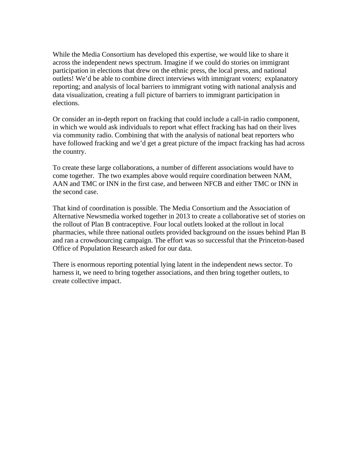While the Media Consortium has developed this expertise, we would like to share it across the independent news spectrum. Imagine if we could do stories on immigrant participation in elections that drew on the ethnic press, the local press, and national outlets! We'd be able to combine direct interviews with immigrant voters; explanatory reporting; and analysis of local barriers to immigrant voting with national analysis and data visualization, creating a full picture of barriers to immigrant participation in elections.

Or consider an in-depth report on fracking that could include a call-in radio component, in which we would ask individuals to report what effect fracking has had on their lives via community radio. Combining that with the analysis of national beat reporters who have followed fracking and we'd get a great picture of the impact fracking has had across the country.

To create these large collaborations, a number of different associations would have to come together. The two examples above would require coordination between NAM, AAN and TMC or INN in the first case, and between NFCB and either TMC or INN in the second case.

That kind of coordination is possible. The Media Consortium and the Association of Alternative Newsmedia worked together in 2013 to create a collaborative set of stories on the rollout of Plan B contraceptive. Four local outlets looked at the rollout in local pharmacies, while three national outlets provided background on the issues behind Plan B and ran a crowdsourcing campaign. The effort was so successful that the Princeton-based Office of Population Research asked for our data.

There is enormous reporting potential lying latent in the independent news sector. To harness it, we need to bring together associations, and then bring together outlets, to create collective impact.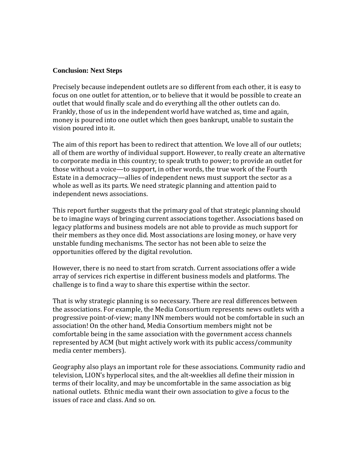#### **Conclusion: Next Steps**

Precisely because independent outlets are so different from each other, it is easy to focus on one outlet for attention, or to believe that it would be possible to create an outlet that would finally scale and do everything all the other outlets can do. Frankly, those of us in the independent world have watched as, time and again, money is poured into one outlet which then goes bankrupt, unable to sustain the vision poured into it.

The aim of this report has been to redirect that attention. We love all of our outlets; all of them are worthy of individual support. However, to really create an alternative to corporate media in this country; to speak truth to power; to provide an outlet for those without a voice—to support, in other words, the true work of the Fourth Estate in a democracy—allies of independent news must support the sector as a whole as well as its parts. We need strategic planning and attention paid to independent news associations.

This report further suggests that the primary goal of that strategic planning should be to imagine ways of bringing current associations together. Associations based on legacy platforms and business models are not able to provide as much support for their members as they once did. Most associations are losing money, or have very unstable funding mechanisms. The sector has not been able to seize the opportunities offered by the digital revolution.

However, there is no need to start from scratch. Current associations offer a wide array of services rich expertise in different business models and platforms. The challenge is to find a way to share this expertise within the sector.

That is why strategic planning is so necessary. There are real differences between the associations. For example, the Media Consortium represents news outlets with a progressive point‐of‐view; many INN members would not be comfortable in such an association! On the other hand, Media Consortium members might not be comfortable being in the same association with the government access channels represented by ACM (but might actively work with its public access/community media center members).

Geography also plays an important role for these associations. Community radio and television, LION's hyperlocal sites, and the alt‐weeklies all define their mission in terms of their locality, and may be uncomfortable in the same association as big national outlets. Ethnic media want their own association to give a focus to the issues of race and class. And so on.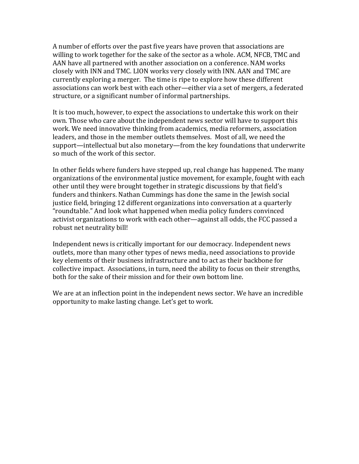A number of efforts over the past five years have proven that associations are willing to work together for the sake of the sector as a whole. ACM, NFCB, TMC and AAN have all partnered with another association on a conference. NAM works closely with INN and TMC. LION works very closely with INN. AAN and TMC are currently exploring a merger. The time is ripe to explore how these different associations can work best with each other—either via a set of mergers, a federated structure, or a significant number of informal partnerships.

It is too much, however, to expect the associations to undertake this work on their own. Those who care about the independent news sector will have to support this work. We need innovative thinking from academics, media reformers, association leaders, and those in the member outlets themselves. Most of all, we need the support—intellectual but also monetary—from the key foundations that underwrite so much of the work of this sector.

In other fields where funders have stepped up, real change has happened. The many organizations of the environmental justice movement, for example, fought with each other until they were brought together in strategic discussions by that field's funders and thinkers. Nathan Cummings has done the same in the Jewish social justice field, bringing 12 different organizations into conversation at a quarterly "roundtable." And look what happened when media policy funders convinced activist organizations to work with each other—against all odds, the FCC passed a robust net neutrality bill!

Independent news is critically important for our democracy. Independent news outlets, more than many other types of news media, need associations to provide key elements of their business infrastructure and to act as their backbone for collective impact. Associations, in turn, need the ability to focus on their strengths, both for the sake of their mission and for their own bottom line.

We are at an inflection point in the independent news sector. We have an incredible opportunity to make lasting change. Let's get to work.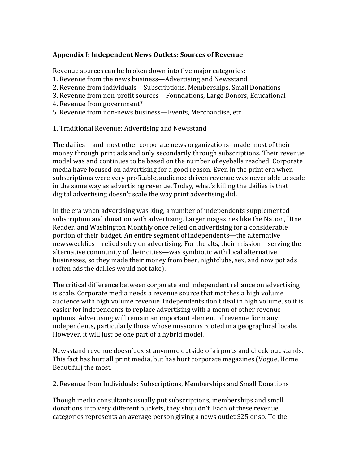# **Appendix I: Independent News Outlets: Sources of Revenue**

Revenue sources can be broken down into five major categories:

- 1. Revenue from the news business—Advertising and Newsstand
- 2. Revenue from individuals—Subscriptions, Memberships, Small Donations
- 3. Revenue from non-profit sources—Foundations, Large Donors, Educational
- 4. Revenue from government\*
- 5. Revenue from non‐news business—Events, Merchandise, etc.

## 1. Traditional Revenue: Advertising and Newsstand

The dailies—and most other corporate news organizations‐‐made most of their money through print ads and only secondarily through subscriptions. Their revenue model was and continues to be based on the number of eyeballs reached. Corporate media have focused on advertising for a good reason. Even in the print era when subscriptions were very profitable, audience‐driven revenue was never able to scale in the same way as advertising revenue. Today, what's killing the dailies is that digital advertising doesn't scale the way print advertising did.

In the era when advertising was king, a number of independents supplemented subscription and donation with advertising. Larger magazines like the Nation, Utne Reader, and Washington Monthly once relied on advertising for a considerable portion of their budget. An entire segment of independents—the alternative newsweeklies—relied soley on advertising. For the alts, their mission—serving the alternative community of their cities—was symbiotic with local alternative businesses, so they made their money from beer, nightclubs, sex, and now pot ads (often ads the dailies would not take).

The critical difference between corporate and independent reliance on advertising is scale. Corporate media needs a revenue source that matches a high volume audience with high volume revenue. Independents don't deal in high volume, so it is easier for independents to replace advertising with a menu of other revenue options. Advertising will remain an important element of revenue for many independents, particularly those whose mission is rooted in a geographical locale. However, it will just be one part of a hybrid model.

Newsstand revenue doesn't exist anymore outside of airports and check‐out stands. This fact has hurt all print media, but has hurt corporate magazines (Vogue, Home Beautiful) the most.

# 2. Revenue from Individuals: Subscriptions, Memberships and Small Donations

Though media consultants usually put subscriptions, memberships and small donations into very different buckets, they shouldn't. Each of these revenue categories represents an average person giving a news outlet \$25 or so. To the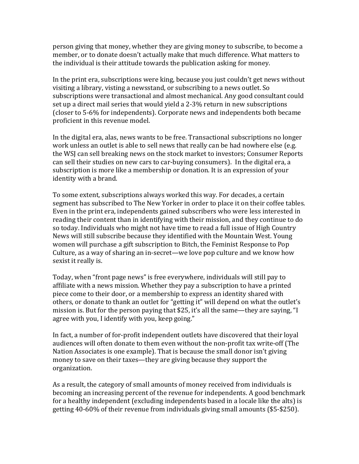person giving that money, whether they are giving money to subscribe, to become a member, or to donate doesn't actually make that much difference. What matters to the individual is their attitude towards the publication asking for money.

In the print era, subscriptions were king, because you just couldn't get news without visiting a library, visting a newsstand, or subscribing to a news outlet. So subscriptions were transactional and almost mechanical. Any good consultant could set up a direct mail series that would yield a 2‐3% return in new subscriptions (closer to 5‐6% for independents). Corporate news and independents both became proficient in this revenue model.

In the digital era, alas, news wants to be free. Transactional subscriptions no longer work unless an outlet is able to sell news that really can be had nowhere else (e.g. the WSJ can sell breaking news on the stock market to investors; Consumer Reports can sell their studies on new cars to car‐buying consumers). In the digital era, a subscription is more like a membership or donation. It is an expression of your identity with a brand.

To some extent, subscriptions always worked this way. For decades, a certain segment has subscribed to The New Yorker in order to place it on their coffee tables. Even in the print era, independents gained subscribers who were less interested in reading their content than in identifying with their mission, and they continue to do so today. Individuals who might not have time to read a full issue of High Country News will still subscribe because they identified with the Mountain West. Young women will purchase a gift subscription to Bitch, the Feminist Response to Pop Culture, as a way of sharing an in‐secret—we love pop culture and we know how sexist it really is.

Today, when "front page news" is free everywhere, individuals will still pay to affiliate with a news mission. Whether they pay a subscription to have a printed piece come to their door, or a membership to express an identity shared with others, or donate to thank an outlet for "getting it" will depend on what the outlet's mission is. But for the person paying that \$25, it's all the same—they are saying, "I agree with you, I identify with you, keep going."

In fact, a number of for‐profit independent outlets have discovered that their loyal audiences will often donate to them even without the non‐profit tax write‐off (The Nation Associates is one example). That is because the small donor isn't giving money to save on their taxes—they are giving because they support the organization.

As a result, the category of small amounts of money received from individuals is becoming an increasing percent of the revenue for independents. A good benchmark for a healthy independent (excluding independents based in a locale like the alts) is etting 40‐60% of their revenue from individuals giving small amounts (\$5‐\$250). g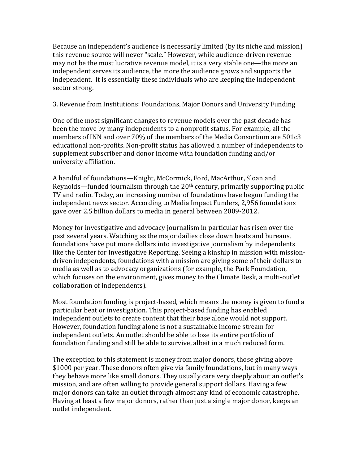Because an independent's audience is necessarily limited (by its niche and mission) this revenue source will never "scale." However, while audience‐driven revenue may not be the most lucrative revenue model, it is a very stable one—the more an independent serves its audience, the more the audience grows and supports the independent. It is essentially these individuals who are keeping the independent sector strong.

## 3. Revenue from Institutions: Foundations, Major Donors and University Funding

One of the most significant changes to revenue models over the past decade has been the move by many independents to a nonprofit status. For example, all the members of INN and over 70% of the members of the Media Consortium are 501c3 educational non‐profits. Non‐profit status has allowed a number of independents to supplement subscriber and donor income with foundation funding and/or university affiliation.

A handful of foundations—Knight, McCormick, Ford, MacArthur, Sloan and Reynolds—funded journalism through the 20th century, primarily supporting public TV and radio. Today, an increasing number of foundations have begun funding the independent news sector. According to Media Impact Funders, 2,956 foundations gave over 2.5 billion dollars to media in general between 2009‐2012.

Money for investigative and advocacy journalism in particular has risen over the past several years. Watching as the major dailies close down beats and bureaus, foundations have put more dollars into investigative journalism by independents like the Center for Investigative Reporting. Seeing a kinship in mission with mission‐ driven independents, foundations with a mission are giving some of their dollars to media as well as to advocacy organizations (for example, the Park Foundation, which focuses on the environment, gives money to the Climate Desk, a multi-outlet collaboration of independents).

Most foundation funding is project‐based, which means the money is given to fund a particular beat or investigation. This project‐based funding has enabled independent outlets to create content that their base alone would not support. However, foundation funding alone is not a sustainable income stream for independent outlets. An outlet should be able to lose its entire portfolio of foundation funding and still be able to survive, albeit in a much reduced form.

The exception to this statement is money from major donors, those giving above \$1000 per year. These donors often give via family foundations, but in many ways they behave more like small donors. They usually care very deeply about an outlet's mission, and are often willing to provide general support dollars. Having a few major donors can take an outlet through almost any kind of economic catastrophe. Having at least a few major donors, rather than just a single major donor, keeps an outlet independent.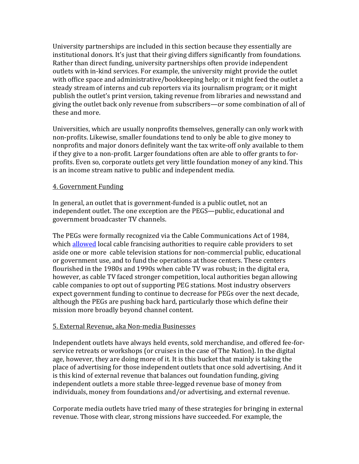University partnerships are included in this section because they essentially are institutional donors. It's just that their giving differs significantly from foundations. Rather than direct funding, university partnerships often provide independent outlets with in‐kind services. For example, the university might provide the outlet with office space and administrative/bookkeeping help; or it might feed the outlet a steady stream of interns and cub reporters via its journalism program; or it might publish the outlet's print version, taking revenue from libraries and newsstand and giving the outlet back only revenue from subscribers—or some combination of all of these and more.

Universities, which are usually nonprofits themselves, generally can only work with non‐profits. Likewise, smaller foundations tend to only be able to give money to nonprofits and major donors definitely want the tax write‐off only available to them if they give to a non‐profit. Larger foundations often are able to offer grants to for‐ profits. Even so, corporate outlets get very little foundation money of any kind. This is an income stream native to public and independent media.

# 4. Government Funding

In general, an outlet that is government-funded is a public outlet, not an independent outlet. The one exception are the PEGS—public, educational and government broadcaster TV channels.

The PEGs were formally recognized via the Cable Communications Act of 1984, which [allowed](http://vermontaccess.net/peg/) local cable francising authorities to require cable providers to set aside one or more cable television stations for non‐commercial public, educational or government use, and to fund the operations at those centers. These centers flourished in the 1980s and 1990s when cable TV was robust; in the digital era, however, as cable TV faced stronger competition, local authorities began allowing cable companies to opt out of supporting PEG stations. Most industry observers expect government funding to continue to decrease for PEGs over the next decade, although the PEGs are pushing back hard, particularly those which define their mission more broadly beyond channel content.

# 5. External Revenue, aka Non‐media Businesses

Independent outlets have always held events, sold merchandise, and offered fee‐for‐ service retreats or workshops (or cruises in the case of The Nation). In the digital age, however, they are doing more of it. It is this bucket that mainly is taking the place of advertising for those independent outlets that once sold advertising. And it is this kind of external revenue that balances out foundation funding, giving independent outlets a more stable three‐legged revenue base of money from individuals, money from foundations and/or advertising, and external revenue.

Corporate media outlets have tried many of these strategies for bringing in external revenue. Those with clear, strong missions have succeeded. For example, the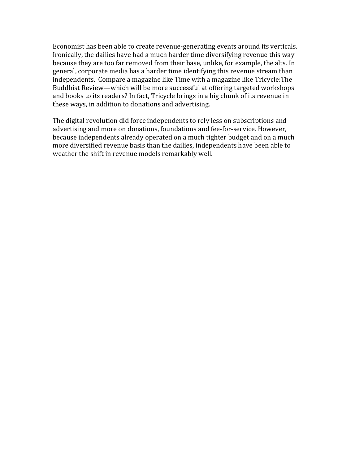Economist has been able to create revenue‐generating events around its verticals. Ironically, the dailies have had a much harder time diversifying revenue this way because they are too far removed from their base, unlike, for example, the alts. In general, corporate media has a harder time identifying this revenue stream than independents. Compare a magazine like Time with a magazine like Tricycle:The Buddhist Review—which will be more successful at offering targeted workshops and books to its readers? In fact, Tricycle brings in a big chunk of its revenue in these ways, in addition to donations and advertising.

The digital revolution did force independents to rely less on subscriptions and advertising and more on donations, foundations and fee‐for‐service. However, because independents already operated on a much tighter budget and on a much more diversified revenue basis than the dailies, independents have been able to weather the shift in revenue models remarkably well.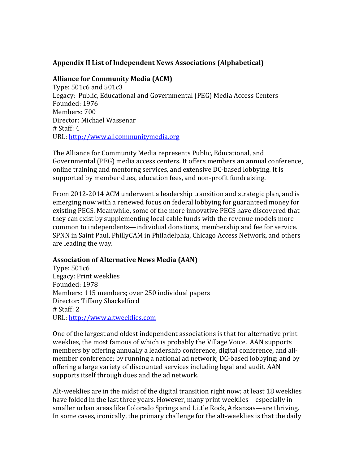# **Appendix II List of Independent News Associations (Alphabetical)**

## **Alliance for Community Media (ACM)**

Type: 501c6 and 501c3 Legacy: Public, Educational and Governmental (PEG) Media Access Centers Founded: 1976 Members: 700 Director: Michael Wassenar # Staff: 4 URL: http://www.allcommunitymedia.org

The Alliance for Community Media represents Public, Educational, and Governmental (PEG) media access centers. It offers members an annual conference, online training and mentorng services, and extensive DC‐based lobbying. It is supported by member dues, education fees, and non‐profit fundraising.

From 2012‐2014 ACM underwent a leadership transition and strategic plan, and is emerging now with a renewed focus on federal lobbying for guaranteed money for existing PEGS. Meanwhile, some of the more innovative PEGS have discovered that they can exist by supplementing local cable funds with the revenue models more common to independents—individual donations, membership and fee for service. SPNN in Saint Paul, PhillyCAM in Philadelphia, Chicago Access Network, and others are leading the way.

#### **Association of Alternative News Media (AAN)**

Type: 501c6 Legacy: Print weeklies Members: 115 members; over 250 individual papers Founded: 1978 Director: Tiffany Shackelford # Staff: 2 URL: http://www.altweeklies.com

One of the largest and oldest independent associations is that for alternative print weeklies, the most famous of which is probably the Village Voice. AAN supports members by offering annually a leadership conference, digital conference, and all‐ member conference; by running a national ad network; DC‐based lobbying; and by offering a large variety of discounted services including legal and audit. AAN supports itself through dues and the ad network.

Alt‐weeklies are in the midst of the digital transition right now; at least 18 weeklies have folded in the last three years. However, many print weeklies—especially in smaller urban areas like Colorado Springs and Little Rock, Arkansas—are thriving. In some cases, ironically, the primary challenge for the alt-weeklies is that the daily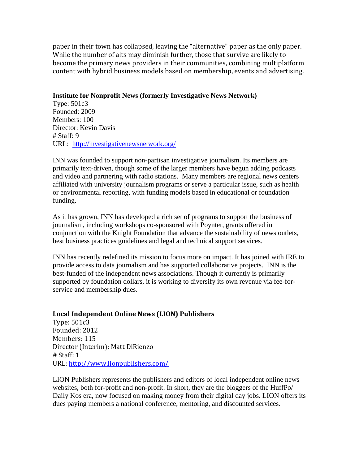paper in their town has collapsed, leaving the "alternative" paper as the only paper. While the number of alts may diminish further, those that survive are likely to become the primary news providers in their communities, combining multiplatform content with hybrid business models based on membership, events and advertising.

#### **Institute for Nonprofit News (formerly Investigative News Network)**

Type: 501c3 Founded: 2009 Members: 100 Director: Kevin Davis # Staff: 9 URL: <http://investigativenewsnetwork.org/>

INN was founded to support non-partisan investigative journalism. Its members are primarily text-driven, though some of the larger members have begun adding podcasts and video and partnering with radio stations. Many members are regional news centers affiliated with university journalism programs or serve a particular issue, such as health or environmental reporting, with funding models based in educational or foundation funding.

As it has grown, INN has developed a rich set of programs to support the business of journalism, including workshops co-sponsored with Poynter, grants offered in conjunction with the Knight Foundation that advance the sustainability of news outlets, best business practices guidelines and legal and technical support services.

INN has recently redefined its mission to focus more on impact. It has joined with IRE to provide access to data journalism and has supported collaborative projects. INN is the best-funded of the independent news associations. Though it currently is primarily supported by foundation dollars, it is working to diversify its own revenue via fee-forservice and membership dues.

#### **Local Independent Online News (LION) Publishers**

Type: 501c3 Founded: 2012 Members: 115 Director (Interim): Matt DiRienzo # Staff: 1 URL:<http://www.lionpublishers.com/>

LION Publishers represents the publishers and editors of local independent online news websites, both for-profit and non-profit. In short, they are the bloggers of the HuffPo/ Daily Kos era, now focused on making money from their digital day jobs. LION offers its dues paying members a national conference, mentoring, and discounted services.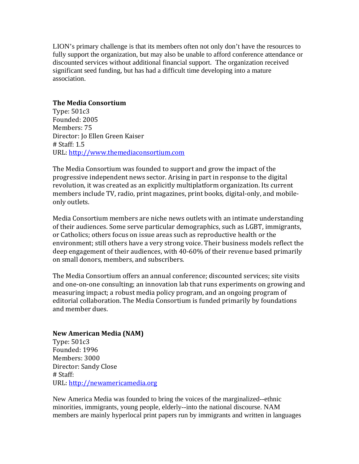LION's primary challenge is that its members often not only don't have the resources to fully support the organization, but may also be unable to afford conference attendance or discounted services without additional financial support. The organization received significant seed funding, but has had a difficult time developing into a mature association.

#### **The Media Consortium**

Type: 501c3 Founded: 2005 Members: 75 Director: Jo Ellen Green Kaiser # Staff: 1.5 URL: http://www.themediaconsortium.com

The Media Consortium was founded to support and grow the impact of the progressive independent news sector. Arising in part in response to the digital revolution, it was created as an explicitly multiplatform organization. Its current members include TV, radio, print magazines, print books, digital‐only, and mobile‐ only outlets.

Media Consortium members are niche news outlets with an intimate understanding of their audiences. Some serve particular demographics, such as LGBT, immigrants, or Catholics; others focus on issue areas such as reproductive health or the environment; still others have a very strong voice. Their business models reflect the deep engagement of their audiences, with 40‐60% of their revenue based primarily on small donors, members, and subscribers.

The Media Consortium offers an annual conference; discounted services; site visits and one‐on‐one consulting; an innovation lab that runs experiments on growing and measuring impact; a robust media policy program, and an ongoing program of editorial collaboration. The Media Consortium is funded primarily by foundations and member dues.

# **New American Media (NAM)**

Type: 501c3 Founded: 1996 Members: 3000 Director: Sandy Close # Staff: URL: [http://newamericamedia.org](http://newamericamedia.org/)

New America Media was founded to bring the voices of the marginalized--ethnic minorities, immigrants, young people, elderly--into the national discourse. NAM members are mainly hyperlocal print papers run by immigrants and written in languages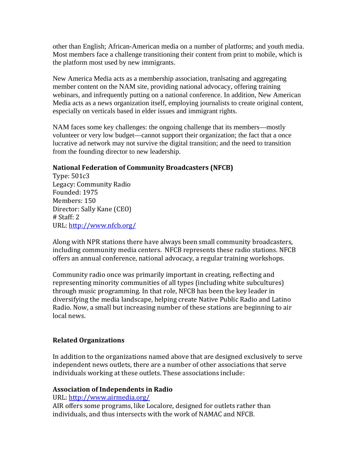other than English; African-American media on a number of platforms; and youth media. Most members face a challenge transitioning their content from print to mobile, which is the platform most used by new immigrants.

New America Media acts as a membership association, tranlsating and aggregating member content on the NAM site, providing national advocacy, offering training webinars, and infrequently putting on a national conference. In addition, New American Media acts as a news organization itself, employing journalists to create original content, especially on verticals based in elder issues and immigrant rights.

NAM faces some key challenges: the ongoing challenge that its members—mostly volunteer or very low budget—cannot support their organization; the fact that a once lucrative ad network may not survive the digital transition; and the need to transition from the founding director to new leadership.

# **National Federation of C ommunity Broadcasters (NFCB)**

Legacy: Community Radio Type: 501c3 Founded: 1975 Members: 150 Director: Sally Kane (CEO) # Staff: 2 URL: http://www.nfcb.org/

Along with NPR stations there have always been small community broadcasters, including community media centers. NFCB represents these radio stations. NFCB offers an annual conference, national advocacy, a regular training workshops.

Community radio once was primarily important in creating, reflecting and representing minority communities of all types (including white subcultures) through music programming. In that role, NFCB has been the key leader in diversifying the media landscape, helping create Native Public Radio and Latino Radio. Now, a small but increasing number of these stations are beginning to air local news.

# **Related Organizations**

In addition to the organizations named above that are designed exclusively to serve independent news outlets, there are a number of other associations that serve individuals working at these outlets. These associations include:

# **Association of Independents in Radio**

URL: http://www.airmedia.org/

AIR offers some programs, like Localore, designed for outlets rather than individuals, and thus intersects with the work of NAMAC and NFCB.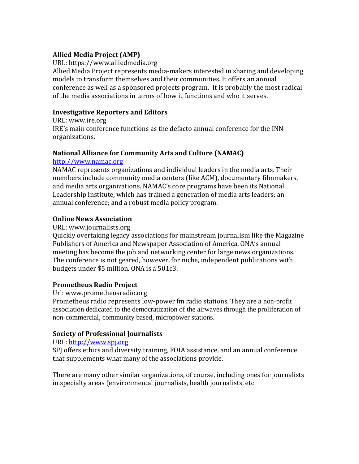# **Allied Media Project (AMP)**

URL: https://www.alliedmedia.org

Allied Media Project represents media‐makers interested in sharing and developing models to transform themselves and their communities. It offers an annual conference as well as a sponsored projects program. It is probably the most radical of the media associations in terms of how it functions and who it serves.

# **Investigative Reporters and Editors**

URL: www.ire.org IRE's main conference functions as the defacto annual conference for the INN organizations.

# **National Alliance for Community Arts and Culture (NAMAC)**

# http://www.namac.org

NAMAC represents organizations and individual leaders in the media arts. Their members include community media centers (like ACM), documentary filmmakers, and media arts organizations. NAMAC's core programs have been its National Leadership Institute, which has trained a generation of media arts leaders; an annual conference; and a robust media policy program.

# **Online News Association**

## URL: www.journalists.org

Quickly overtaking legacy associations for mainstream journalism like the Magazine Publishers of America and Newspaper Association of America, ONA's annual meeting has become the job and networking center for large news organizations. The conference is not geared, however, for niche, independent publications with budgets under \$5 million. ONA is a 501c3.

# **Prometheus Radio Project**

Url: www.prometheusradio.org

Prometheus radio represents low‐power fm radio stations. They are a non-profit association dedicated to the democratization of the airwaves through the proliferation of non-commercial, community based, micropower stations.

# **Society of Professional Journalists**

# URL: http://www.spj.org

SPJ offers ethics and diversity training, FOIA assistance, and an annual conference that supplements what many of the associations provide.

There are many other similar organizations, of course, including ones for journalists in specialty areas (environmental journalists, health journalists, etc